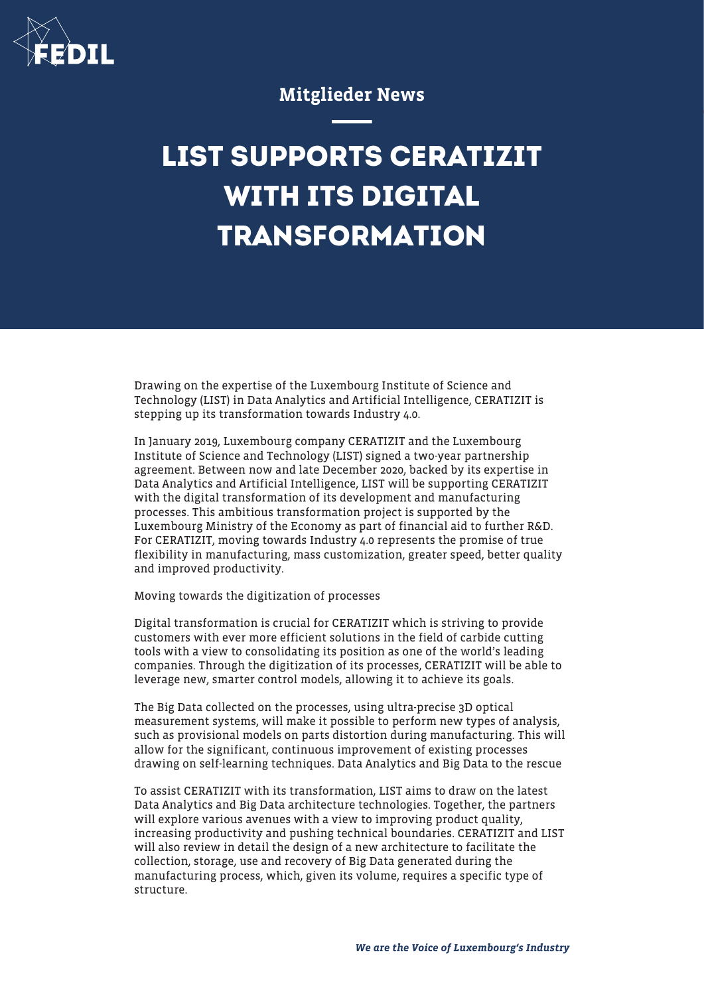

## Mitglieder News

## **LIST SUPPORTS CERATIZIT WITH ITS DIGITAL TRANSFORMATION**

Drawing on the expertise of the Luxembourg Institute of Science and Technology (LIST) in Data Analytics and Artificial Intelligence, CERATIZIT is stepping up its transformation towards Industry 4.0.

In January 2019, Luxembourg company CERATIZIT and the Luxembourg Institute of Science and Technology (LIST) signed a two-year partnership agreement. Between now and late December 2020, backed by its expertise in Data Analytics and Artificial Intelligence, LIST will be supporting CERATIZIT with the digital transformation of its development and manufacturing processes. This ambitious transformation project is supported by the Luxembourg Ministry of the Economy as part of financial aid to further R&D. For CERATIZIT, moving towards Industry 4.0 represents the promise of true flexibility in manufacturing, mass customization, greater speed, better quality and improved productivity.

Moving towards the digitization of processes

Digital transformation is crucial for CERATIZIT which is striving to provide customers with ever more efficient solutions in the field of carbide cutting tools with a view to consolidating its position as one of the world's leading companies. Through the digitization of its processes, CERATIZIT will be able to leverage new, smarter control models, allowing it to achieve its goals.

The Big Data collected on the processes, using ultra-precise 3D optical measurement systems, will make it possible to perform new types of analysis, such as provisional models on parts distortion during manufacturing. This will allow for the significant, continuous improvement of existing processes drawing on self-learning techniques. Data Analytics and Big Data to the rescue

To assist CERATIZIT with its transformation, LIST aims to draw on the latest Data Analytics and Big Data architecture technologies. Together, the partners will explore various avenues with a view to improving product quality, increasing productivity and pushing technical boundaries. CERATIZIT and LIST will also review in detail the design of a new architecture to facilitate the collection, storage, use and recovery of Big Data generated during the manufacturing process, which, given its volume, requires a specific type of structure.